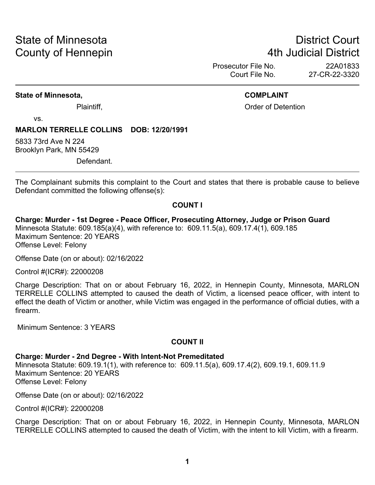# State of Minnesota **District Court County of Hennepin 1988** County of Hennepin **1988** County of Hennepin **1988**

Prosecutor File No. 22A01833<br>Court File No. 27-CR-22-3320 27-CR-22-3320

#### **State of Minnesota, COMPLAINT**

Plaintiff, Plaintiff, Plaintiff, Plaintiff, Plaintiff, Plaintiff, Plaintiff, Plaintiff, Plaintiff, Plaintiff, Plaintiff, Plaintiff, Plaintiff, Plaintiff, Plaintiff, Plaintiff, Plaintiff, Plaintiff, Plaintiff, Plaintiff, Pl

vs.

#### **MARLON TERRELLE COLLINS DOB: 12/20/1991**

5833 73rd Ave N 224 Brooklyn Park, MN 55429

Defendant.

The Complainant submits this complaint to the Court and states that there is probable cause to believe Defendant committed the following offense(s):

#### **COUNT I**

**Charge: Murder - 1st Degree - Peace Officer, Prosecuting Attorney, Judge or Prison Guard** Minnesota Statute: 609.185(a)(4), with reference to: 609.11.5(a), 609.17.4(1), 609.185 Maximum Sentence: 20 YEARS Offense Level: Felony

Offense Date (on or about): 02/16/2022

Control #(ICR#): 22000208

Charge Description: That on or about February 16, 2022, in Hennepin County, Minnesota, MARLON TERRELLE COLLINS attempted to caused the death of Victim, a licensed peace officer, with intent to effect the death of Victim or another, while Victim was engaged in the performance of official duties, with a firearm.

Minimum Sentence: 3 YEARS

#### **COUNT II**

#### **Charge: Murder - 2nd Degree - With Intent-Not Premeditated**

Minnesota Statute: 609.19.1(1), with reference to: 609.11.5(a), 609.17.4(2), 609.19.1, 609.11.9 Maximum Sentence: 20 YEARS Offense Level: Felony

Offense Date (on or about): 02/16/2022

Control #(ICR#): 22000208

Charge Description: That on or about February 16, 2022, in Hennepin County, Minnesota, MARLON TERRELLE COLLINS attempted to caused the death of Victim, with the intent to kill Victim, with a firearm.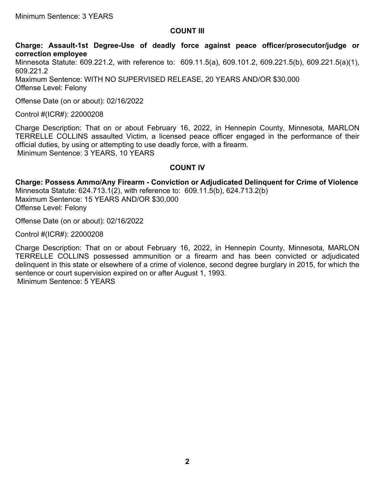### **COUNT III**

**Charge: Assault-1st Degree-Use of deadly force against peace officer/prosecutor/judge or correction employee**

Minnesota Statute: 609.221.2, with reference to: 609.11.5(a), 609.101.2, 609.221.5(b), 609.221.5(a)(1), 609.221.2 Maximum Sentence: WITH NO SUPERVISED RELEASE, 20 YEARS AND/OR \$30,000 Offense Level: Felony

Offense Date (on or about): 02/16/2022

Control #(ICR#): 22000208

Charge Description: That on or about February 16, 2022, in Hennepin County, Minnesota, MARLON TERRELLE COLLINS assaulted Victim, a licensed peace officer engaged in the performance of their official duties, by using or attempting to use deadly force, with a firearm. Minimum Sentence: 3 YEARS, 10 YEARS

#### **COUNT IV**

**Charge: Possess Ammo/Any Firearm - Conviction or Adjudicated Delinquent for Crime of Violence** Minnesota Statute: 624.713.1(2), with reference to: 609.11.5(b), 624.713.2(b) Maximum Sentence: 15 YEARS AND/OR \$30,000 Offense Level: Felony

Offense Date (on or about): 02/16/2022

Control #(ICR#): 22000208

Charge Description: That on or about February 16, 2022, in Hennepin County, Minnesota, MARLON TERRELLE COLLINS possessed ammunition or a firearm and has been convicted or adjudicated delinquent in this state or elsewhere of a crime of violence, second degree burglary in 2015, for which the sentence or court supervision expired on or after August 1, 1993. Minimum Sentence: 5 YEARS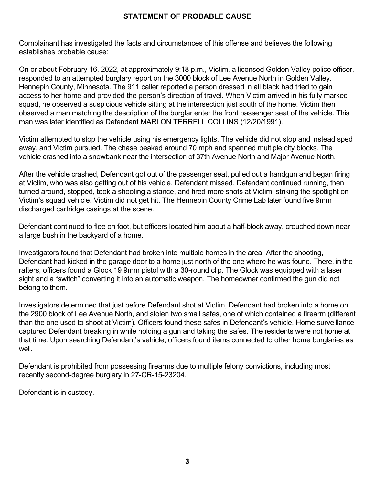## **STATEMENT OF PROBABLE CAUSE**

Complainant has investigated the facts and circumstances of this offense and believes the following establishes probable cause:

On or about February 16, 2022, at approximately 9:18 p.m., Victim, a licensed Golden Valley police officer, responded to an attempted burglary report on the 3000 block of Lee Avenue North in Golden Valley, Hennepin County, Minnesota. The 911 caller reported a person dressed in all black had tried to gain access to her home and provided the person's direction of travel. When Victim arrived in his fully marked squad, he observed a suspicious vehicle sitting at the intersection just south of the home. Victim then observed a man matching the description of the burglar enter the front passenger seat of the vehicle. This man was later identified as Defendant MARLON TERRELL COLLINS (12/20/1991).

Victim attempted to stop the vehicle using his emergency lights. The vehicle did not stop and instead sped away, and Victim pursued. The chase peaked around 70 mph and spanned multiple city blocks. The vehicle crashed into a snowbank near the intersection of 37th Avenue North and Major Avenue North.

After the vehicle crashed, Defendant got out of the passenger seat, pulled out a handgun and began firing at Victim, who was also getting out of his vehicle. Defendant missed. Defendant continued running, then turned around, stopped, took a shooting a stance, and fired more shots at Victim, striking the spotlight on Victim's squad vehicle. Victim did not get hit. The Hennepin County Crime Lab later found five 9mm discharged cartridge casings at the scene.

Defendant continued to flee on foot, but officers located him about a half-block away, crouched down near a large bush in the backyard of a home.

Investigators found that Defendant had broken into multiple homes in the area. After the shooting, Defendant had kicked in the garage door to a home just north of the one where he was found. There, in the rafters, officers found a Glock 19 9mm pistol with a 30-round clip. The Glock was equipped with a laser sight and a "switch" converting it into an automatic weapon. The homeowner confirmed the gun did not belong to them.

Investigators determined that just before Defendant shot at Victim, Defendant had broken into a home on the 2900 block of Lee Avenue North, and stolen two small safes, one of which contained a firearm (different than the one used to shoot at Victim). Officers found these safes in Defendant's vehicle. Home surveillance captured Defendant breaking in while holding a gun and taking the safes. The residents were not home at that time. Upon searching Defendant's vehicle, officers found items connected to other home burglaries as well.

Defendant is prohibited from possessing firearms due to multiple felony convictions, including most recently second-degree burglary in 27-CR-15-23204.

Defendant is in custody.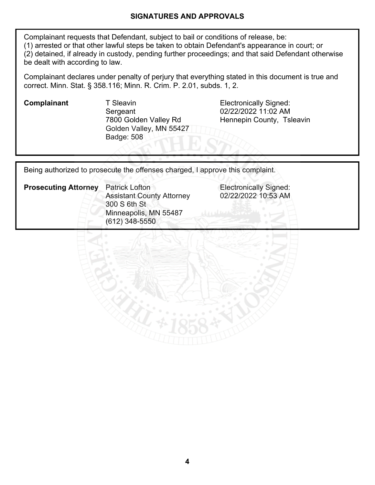### **SIGNATURES AND APPROVALS**

Complainant requests that Defendant, subject to bail or conditions of release, be: (1) arrested or that other lawful steps be taken to obtain Defendant's appearance in court; or (2) detained, if already in custody, pending further proceedings; and that said Defendant otherwise be dealt with according to law.

Complainant declares under penalty of perjury that everything stated in this document is true and correct. Minn. Stat. § 358.116; Minn. R. Crim. P. 2.01, subds. 1, 2.

**Complainant** T Sleavin **T** T Sleavin **Electronically Signed: Sergeant** 7800 Golden Valley Rd Golden Valley, MN 55427 Badge: 508

02/22/2022 11:02 AM Hennepin County, Tsleavin

**Electronically Signed:** 02/22/2022 10:53 AM

Being authorized to prosecute the offenses charged, I approve this complaint.

| <b>Prosecuting Attorney</b> | <b>Patrick Lofton</b><br><b>Assistant County Attorney</b> |  |  |
|-----------------------------|-----------------------------------------------------------|--|--|
|                             |                                                           |  |  |
|                             | 300 S 6th St                                              |  |  |
|                             | Minneapolis, MN 55487                                     |  |  |
|                             | $(612)$ 348-5550                                          |  |  |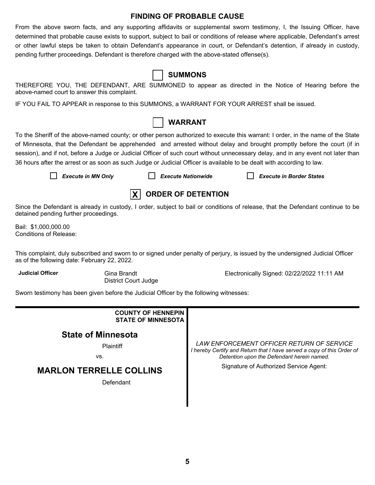#### **FINDING OF PROBABLE CAUSE**

From the above sworn facts, and any supporting affidavits or supplemental sworn testimony, I, the Issuing Officer, have determined that probable cause exists to support, subject to bail or conditions of release where applicable, Defendant's arrest or other lawful steps be taken to obtain Defendant's appearance in court, or Defendant's detention, if already in custody, pending further proceedings. Defendant is therefore charged with the above-stated offense(s).

|  |  |  | <b>SUMMONS</b> |
|--|--|--|----------------|
|--|--|--|----------------|

THEREFORE YOU, THE DEFENDANT, ARE SUMMONED to appear as directed in the Notice of Hearing before the above-named court to answer this complaint.

IF YOU FAIL TO APPEAR in response to this SUMMONS, a WARRANT FOR YOUR ARREST shall be issued.



To the Sheriff of the above-named county; or other person authorized to execute this warrant: I order, in the name of the State of Minnesota, that the Defendant be apprehended and arrested without delay and brought promptly before the court (if in session), and if not, before a Judge or Judicial Officer of such court without unnecessary delay, and in any event not later than 36 hours after the arrest or as soon as such Judge or Judicial Officer is available to be dealt with according to law.

*Execute in MN Only Execute Nationwide Execute in Border States*



Since the Defendant is already in custody, I order, subject to bail or conditions of release, that the Defendant continue to be detained pending further proceedings.

Bail: \$1,000,000.00 Conditions of Release:

This complaint, duly subscribed and sworn to or signed under penalty of perjury, is issued by the undersigned Judicial Officer as of the following date: February 22, 2022.

**Judicial Officer** Gina Brandt

District Court Judge

Electronically Signed: 02/22/2022 11:11 AM

Sworn testimony has been given before the Judicial Officer by the following witnesses:

| <b>COUNTY OF HENNEPIN</b><br><b>STATE OF MINNESOTA</b> |                                                                                                                                                                   |
|--------------------------------------------------------|-------------------------------------------------------------------------------------------------------------------------------------------------------------------|
| <b>State of Minnesota</b><br>Plaintiff<br>VS.          | LAW ENFORCEMENT OFFICER RETURN OF SERVICE<br>I hereby Certify and Return that I have served a copy of this Order of<br>Detention upon the Defendant herein named. |
| <b>MARLON TERRELLE COLLINS</b><br>Defendant            | Signature of Authorized Service Agent:                                                                                                                            |
|                                                        |                                                                                                                                                                   |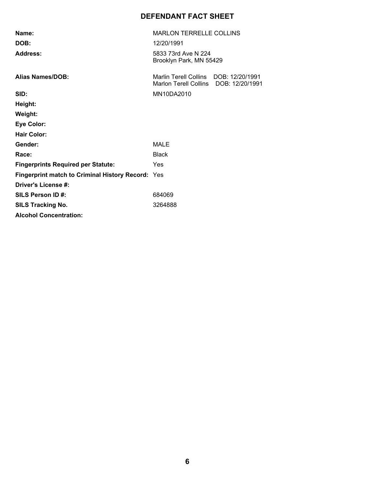# **DEFENDANT FACT SHEET**

| Name:                                                    | <b>MARLON TERRELLE COLLINS</b>                                 |                 |  |
|----------------------------------------------------------|----------------------------------------------------------------|-----------------|--|
| DOB:                                                     | 12/20/1991                                                     |                 |  |
| Address:                                                 | 5833 73rd Ave N 224<br>Brooklyn Park, MN 55429                 |                 |  |
| <b>Alias Names/DOB:</b>                                  | Marlin Terell Collins DOB: 12/20/1991<br>Marlon Terell Collins | DOB: 12/20/1991 |  |
| SID:                                                     | MN10DA2010                                                     |                 |  |
| Height:                                                  |                                                                |                 |  |
| Weight:                                                  |                                                                |                 |  |
| <b>Eye Color:</b>                                        |                                                                |                 |  |
| <b>Hair Color:</b>                                       |                                                                |                 |  |
| Gender:                                                  | MALE                                                           |                 |  |
| Race:                                                    | <b>Black</b>                                                   |                 |  |
| <b>Fingerprints Required per Statute:</b>                | Yes                                                            |                 |  |
| <b>Fingerprint match to Criminal History Record: Yes</b> |                                                                |                 |  |
| Driver's License #:                                      |                                                                |                 |  |
| SILS Person ID#:                                         | 684069                                                         |                 |  |
| <b>SILS Tracking No.</b>                                 | 3264888                                                        |                 |  |
| <b>Alcohol Concentration:</b>                            |                                                                |                 |  |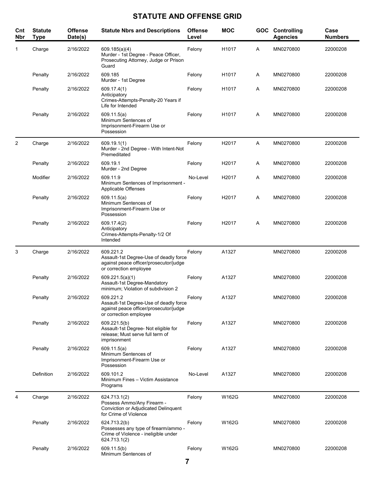# **STATUTE AND OFFENSE GRID**

| Cnt<br><b>Nbr</b> | <b>Statute</b><br><b>Type</b> | <b>Offense</b><br>Date(s) | <b>Statute Nbrs and Descriptions</b>                                                                                    | <b>Offense</b><br>Level | <b>MOC</b>        | <b>GOC</b> | Controlling<br><b>Agencies</b> | Case<br><b>Numbers</b> |
|-------------------|-------------------------------|---------------------------|-------------------------------------------------------------------------------------------------------------------------|-------------------------|-------------------|------------|--------------------------------|------------------------|
| 1                 | Charge                        | 2/16/2022                 | 609.185(a)(4)<br>Murder - 1st Degree - Peace Officer,<br>Prosecuting Attorney, Judge or Prison<br>Guard                 | Felony                  | H1017             | Α          | MN0270800                      | 22000208               |
|                   | Penalty                       | 2/16/2022                 | 609.185<br>Murder - 1st Degree                                                                                          | Felony                  | H1017             | A          | MN0270800                      | 22000208               |
|                   | Penalty                       | 2/16/2022                 | 609.17.4(1)<br>Anticipatory<br>Crimes-Attempts-Penalty-20 Years if<br>Life for Intended                                 | Felony                  | H1017             | Α          | MN0270800                      | 22000208               |
|                   | Penalty                       | 2/16/2022                 | 609.11.5(a)<br>Minimum Sentences of<br>Imprisonment-Firearm Use or<br>Possession                                        | Felony                  | H1017             | Α          | MN0270800                      | 22000208               |
| 2                 | Charge                        | 2/16/2022                 | 609.19.1(1)<br>Murder - 2nd Degree - With Intent-Not<br>Premeditated                                                    | Felony                  | H2017             | Α          | MN0270800                      | 22000208               |
|                   | Penalty                       | 2/16/2022                 | 609.19.1<br>Murder - 2nd Degree                                                                                         | Felony                  | H <sub>2017</sub> | A          | MN0270800                      | 22000208               |
|                   | Modifier                      | 2/16/2022                 | 609.11.9<br>Minimum Sentences of Imprisonment -<br>Applicable Offenses                                                  | No-Level                | H <sub>2017</sub> | Α          | MN0270800                      | 22000208               |
|                   | Penalty                       | 2/16/2022                 | 609.11.5(a)<br>Minimum Sentences of<br>Imprisonment-Firearm Use or<br>Possession                                        | Felony                  | H <sub>2017</sub> | Α          | MN0270800                      | 22000208               |
|                   | Penalty                       | 2/16/2022                 | 609.17.4(2)<br>Anticipatory<br>Crimes-Attempts-Penalty-1/2 Of<br>Intended                                               | Felony                  | H2017             | Α          | MN0270800                      | 22000208               |
| 3                 | Charge                        | 2/16/2022                 | 609.221.2<br>Assault-1st Degree-Use of deadly force<br>against peace officer/prosecutor/judge<br>or correction employee | Felony                  | A1327             |            | MN0270800                      | 22000208               |
|                   | Penalty                       | 2/16/2022                 | 609.221.5(a)(1)<br>Assault-1st Degree-Mandatory<br>minimum; Violation of subdivision 2                                  | Felony                  | A1327             |            | MN0270800                      | 22000208               |
|                   | Penalty                       | 2/16/2022                 | 609.221.2<br>Assault-1st Degree-Use of deadly force<br>against peace officer/prosecutor/judge<br>or correction employee | Felony                  | A1327             |            | MN0270800                      | 22000208               |
|                   | Penalty                       | 2/16/2022                 | 609.221.5(b)<br>Assault-1st Degree- Not eligible for<br>release; Must serve full term of<br>imprisonment                | Felony                  | A1327             |            | MN0270800                      | 22000208               |
|                   | Penalty                       | 2/16/2022                 | 609.11.5(a)<br>Minimum Sentences of<br>Imprisonment-Firearm Use or<br>Possession                                        | Felony                  | A1327             |            | MN0270800                      | 22000208               |
|                   | Definition                    | 2/16/2022                 | 609.101.2<br>Minimum Fines - Victim Assistance<br>Programs                                                              | No-Level                | A1327             |            | MN0270800                      | 22000208               |
| 4                 | Charge                        | 2/16/2022                 | 624.713.1(2)<br>Possess Ammo/Any Firearm -<br>Conviction or Adjudicated Delinquent<br>for Crime of Violence             | Felony                  | W162G             |            | MN0270800                      | 22000208               |
|                   | Penalty                       | 2/16/2022                 | 624.713.2(b)<br>Possesses any type of firearm/ammo -<br>Crime of Violence - ineligible under<br>624.713.1(2)            | Felony                  | W162G             |            | MN0270800                      | 22000208               |
|                   | Penalty                       | 2/16/2022                 | 609.11.5(b)<br>Minimum Sentences of                                                                                     | Felony                  | W162G             |            | MN0270800                      | 22000208               |